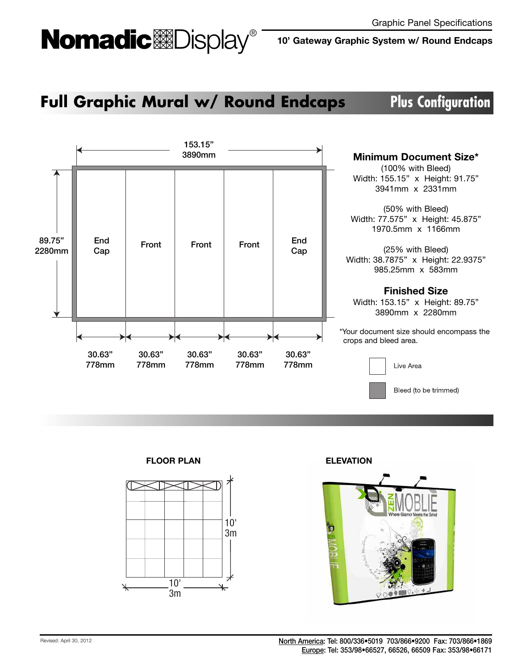# Nomadic<sup>&Display®</sup>

**10' Gateway Graphic System w/ Round Endcaps**

### **Full Graphic Mural w/ Round Endcaps Plus Configuration**



**FLOOR PLAN**